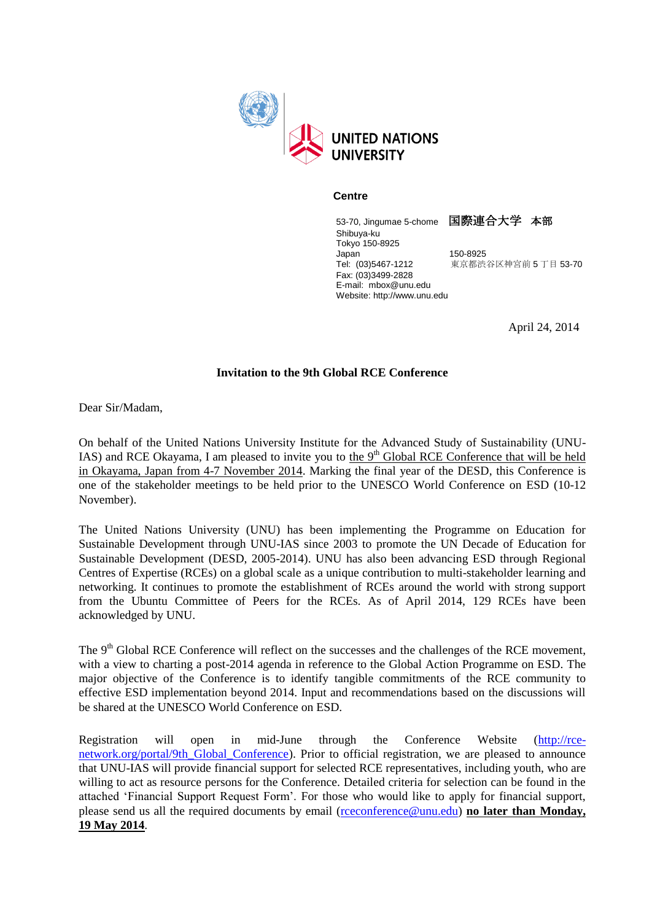

## **Centre**

53-70, Jingumae 5-chome 国際連合大学 本部 Shibuya-ku Tokyo 150-8925 Japan 150-8925<br>Tel: (03)5467-1212 東京都渋 東京都渋谷区神宮前 5 丁目 53-70 Fax: (03)3499-2828 E-mail: mbox@unu.edu Website: http://www.unu.edu

April 24, 2014

## **Invitation to the 9th Global RCE Conference**

Dear Sir/Madam,

On behalf of the United Nations University Institute for the Advanced Study of Sustainability (UNU-IAS) and RCE Okayama, I am pleased to invite you to the 9<sup>th</sup> Global RCE Conference that will be held in Okayama, Japan from 4-7 November 2014. Marking the final year of the DESD, this Conference is one of the stakeholder meetings to be held prior to the [UNESCO World Conference on ESD](http://www.unesco.org/new/en/unesco-world-conference-on-esd-2014/) (10-12 November).

The United Nations University (UNU) has been implementing the Programme on Education for Sustainable Development through UNU-IAS since 2003 to promote the UN Decade of Education for Sustainable Development (DESD, 2005-2014). UNU has also been advancing ESD through Regional Centres of Expertise (RCEs) on a global scale as a unique contribution to multi-stakeholder learning and networking. It continues to promote the establishment of RCEs around the world with strong support from the Ubuntu Committee of Peers for the RCEs. As of April 2014, 129 RCEs have been acknowledged by UNU.

The 9<sup>th</sup> Global RCE Conference will reflect on the successes and the challenges of the RCE movement, with a view to charting a post-2014 agenda in reference to the [Global Action Programme on ESD.](http://www.unesco.org/new/en/unesco-world-conference-on-esd-2014/esd-after-2014/global-action-programme/) The major objective of the Conference is to identify tangible commitments of the RCE community to effective ESD implementation beyond 2014. Input and recommendations based on the discussions will be shared at the UNESCO World Conference on ESD.

Registration will open in mid-June through the Conference Website [\(http://rce](https://mail-jp2.unu.edu/owa/redir.aspx?C=XldK0ltrt0a0O6Gm0njee1hUy8ZHMtEIdEaITeKC7aIzrRkKI-2kCxfANT7_PbdusWQN5y6N918.&URL=http%3a%2f%2frce-network.org%2fportal%2f9th_Global_Conference)[network.org/portal/9th\\_Global\\_Conference\)](https://mail-jp2.unu.edu/owa/redir.aspx?C=XldK0ltrt0a0O6Gm0njee1hUy8ZHMtEIdEaITeKC7aIzrRkKI-2kCxfANT7_PbdusWQN5y6N918.&URL=http%3a%2f%2frce-network.org%2fportal%2f9th_Global_Conference). Prior to official registration, we are pleased to announce that UNU-IAS will provide financial support for selected RCE representatives, including youth, who are willing to act as resource persons for the Conference. Detailed criteria for selection can be found in the attached 'Financial Support Request Form'. For those who would like to apply for financial support, please send us all the required documents by email [\(rceconference@unu.edu\)](mailto:rceconference@unu.edu) **no later than Monday, 19 May 2014**.